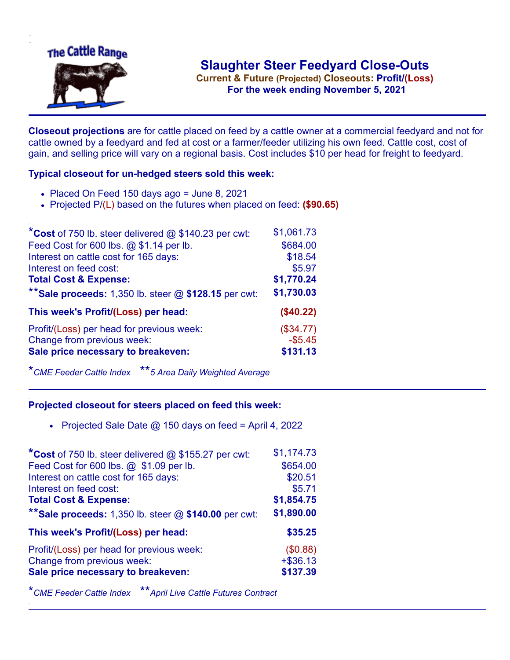

.**For the week ending November 5, 2021**

**Closeout projections** are for cattle placed on feed by a cattle owner at a commercial feedyard and not for cattle owned by a feedyard and fed at cost or a farmer/feeder utilizing his own feed. Cattle cost, cost of gain, and selling price will vary on a regional basis. Cost includes \$10 per head for freight to feedyard.

## **Typical closeout for un-hedged steers sold this week:**

- $\bullet$  Placed On Feed 150 days ago = June 8, 2021
- Projected P/(L) based on the futures when placed on feed: **(\$90.65)**

| *Cost of 750 lb. steer delivered $@$ \$140.23 per cwt:  | \$1,061.73 |
|---------------------------------------------------------|------------|
| Feed Cost for 600 lbs. @ \$1.14 per lb.                 | \$684.00   |
| Interest on cattle cost for 165 days:                   | \$18.54    |
| Interest on feed cost:                                  | \$5.97     |
| <b>Total Cost &amp; Expense:</b>                        | \$1,770.24 |
| ** Sale proceeds: 1,350 lb. steer $@$ \$128.15 per cwt: | \$1,730.03 |
| This week's Profit/(Loss) per head:                     | (\$40.22)  |
| Profit/(Loss) per head for previous week:               | (\$34.77)  |
| Change from previous week:                              | $-$ \$5.45 |
| Sale price necessary to breakeven:                      | \$131.13   |

\**CME Feeder Cattle Index* \*\**5 Area Daily Weighted Average*

## **Projected closeout for steers placed on feed this week:**

• Projected Sale Date  $@$  150 days on feed = April 4, 2022

| *Cost of 750 lb. steer delivered @ \$155.27 per cwt:    | \$1,174.73 |
|---------------------------------------------------------|------------|
| Feed Cost for 600 lbs. @ \$1.09 per lb.                 | \$654.00   |
| Interest on cattle cost for 165 days:                   | \$20.51    |
| Interest on feed cost:                                  | \$5.71     |
| <b>Total Cost &amp; Expense:</b>                        | \$1,854.75 |
| ** Sale proceeds: 1,350 lb. steer $@$ \$140.00 per cwt: | \$1,890.00 |
|                                                         |            |
| This week's Profit/(Loss) per head:                     | \$35.25    |
| Profit/(Loss) per head for previous week:               | (\$0.88)   |
| Change from previous week:                              | $+ $36.13$ |
| Sale price necessary to breakeven:                      | \$137.39   |

\**CME Feeder Cattle Index* \*\**April Live Cattle Futures Contract*